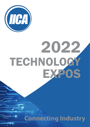

# 2021 TECHNOLOGY EXPOS 2022

**Connecting Industry**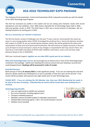

# IICA 2022 TECHNOLOGY EXPO PACKAGE

The Institute of Instrumentation, Control and Automation (IICA) is pleased to provide you with the details of our 2022 Technology Expo Program.

The IICA has increased our profile in the market and we are seeing some fantastic results with record attendances and new exhibitors. Over 1600 visitors attended the 16 Technology Expos held in 2018, with even greater results in 2019. The Perth Expo in 2021 saw a record amount of attendees. We are looking forward to an exciting year in 2022.

#### **We are a community, our network is important**

The IICA has faced a variety of challenges over the past 77 years, and our recent growth has meant we were in a very strong position when COVID-19 changed the world we live in. Due to the dynamic situation with respect to COVID-19, we are monitoring the situation closely. We will be guided by the advice and requirements of State and Local Government Authorities. We will continue to update everyone in the lead up to all Expos to ensure everyone is aware of any changes or requirements that may concern them. Our main focus is the health and safety of all IICA staff, exhibitors and visitors, and as such we have made decisions based on this in 2020/2021.

With your continued support, **together we can make 2022 a great year for our industry.**

**Many IICA Technology Expos sell out,** we encourage you to choose one or more of the Technology Expos contained in this package. Submit your booking form early to ensure that your booking is secured and avoid disappointment. **Bookings will be processed in order of receipt.** 

#### **Early Bird Discount**

Book and pay in full by **31 January 2022** to make significant savings. If you are not claiming the early bird discount, please submit your booking form as soon as possible, so that your spot can be secured. A tax invoice will be provided, with payment due eight weeks prior to each Technology Expo.

**PLEASE NOTE - if you are claiming the IICA Member rate, then your 2022 Membership fee needs to be paid at the time of booking. A Membership tax invoice will be issued when your booking form is received.**

#### **Technology Expo Benefits**

- Low cost opportunity to exhibit your products
- Run across Australia, including regional areas
- Company marketing exposure
- Attendee contacts provided (subject to attendee's permission)
- Clothed table measuring approx. 1.8m x .6m (varies between venues)
- Exhibitor lunch provided



We look forward to working with your organisation as an Exhibitor in partnership with the IICA in 2022!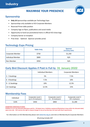# **Industry**

# MAXIMISE YOUR PRESENCE



## **Sponsorship**

- **• Only 10** Sponsorships available per Technology Expo
- Sponsorships only available to IICA Corporate Members
- Reserved Prime table position
- Company logo on flyers, publications and social media
- Opportunity to hand out promotional items in official IICA show bags
- Company banner at reception
- Prize draw Optional (Sponsor provides prize)

## Technology Expo Pricing

|                          | <b>Table Only</b> | <b>Sponsor</b><br>(including table) |
|--------------------------|-------------------|-------------------------------------|
| Corporate Member         | \$750             | \$1,250                             |
| <b>Individual Member</b> | \$800             | N/A                                 |
| Non Member               | \$950             | N/A                                 |

## Early Bird Discount Applies if Paid in Full by 31 January 2022

|                   | <b>Individual Members</b> | <b>Corporate Members</b> |
|-------------------|---------------------------|--------------------------|
| $3 - 5$ bookings  | 5%                        | 7.5%                     |
| 6 - 8 bookings    | 7.5%                      | 10%                      |
| $9 - 11$ bookings | 10%                       | 12.5%                    |
| $12+$ bookings    | 12.5%                     | 15%                      |

## Membership Fees

| Individual | Corporate Level 1    | Corporate Level 2     | Corporate Level 3 |
|------------|----------------------|-----------------------|-------------------|
|            | (up to 10 employees) | $(11 - 50$ employees) | (50+ employees)   |
| \$195      | \$450                | \$850                 | \$1,200           |

#### **EXHIBITORS CONDITION OF ENTRY:**

**Exhibitors to use only allocated table/space paid for. All display items, Exhibition equipment/Marketing to keep within the allocated table/ space area only. IICA reserves the right to request changes to any set up that does not meet with these requirements.**

For information on IICA Membership please visit **www.iica.org.au** and click on Membership & Corporate Members

All pricing includes GST